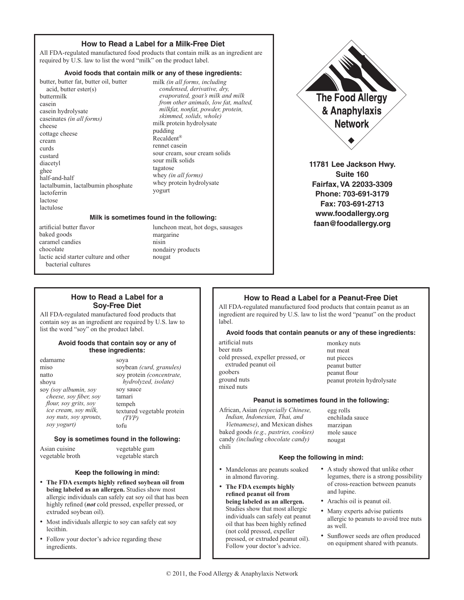# **How to Read a Label for a Milk-Free Diet**

All FDA-regulated manufactured food products that contain milk as an ingredient are required by U.S. law to list the word "milk" on the product label.

# **Avoid foods that contain milk or any of these ingredients:**

butter, butter fat, butter oil, butter acid, butter ester(s) buttermilk casein casein hydrolysate caseinates *(in all forms)* cheese cottage cheese cream curds custard diacetyl ghee half-and-half lactalbumin, lactalbumin phosphate lactoferrin lactose lactulose

milk *(in all forms, including condensed, derivative, dry, evaporated, goat's milk and milk from other animals, low fat, malted, milkfat, nonfat, powder, protein, skimmed, solids, whole)* milk protein hydrolysate pudding Recaldent® rennet casein sour cream, sour cream solids sour milk solids tagatose whey *(in all forms)* whey protein hydrolysate yogurt

## **Milk is sometimes found in the following:**

artificial butter flavor baked goods caramel candies chocolate lactic acid starter culture and other bacterial cultures

luncheon meat, hot dogs, sausages margarine nisin nondairy products nougat



**11781 Lee Jackson Hwy. Suite 160 Fairfax, VA 22033-3309 Phone: 703-691-3179 Fax: 703-691-2713 www.foodallergy.org faan@foodallergy.org**

# **How to Read a Label for a Soy-Free Diet**

All FDA-regulated manufactured food products that contain soy as an ingredient are required by U.S. law to list the word "soy" on the product label.

## **Avoid foods that contain soy or any of these ingredients:**

| edamame                | sova                       |
|------------------------|----------------------------|
| miso                   | soybean (curd, granules)   |
| natto                  | soy protein (concentrate,  |
| shoyu                  | hydrolyzed, isolate)       |
| soy (soy albumin, soy  | soy sauce                  |
| cheese, soy fiber, soy | tamari                     |
| flour, soy grits, soy  | tempeh                     |
| ice cream, soy milk,   | textured vegetable protein |
| soy nuts, soy sprouts, | (TVP)                      |
| sov vogurt)            |                            |

# **Soy is sometimes found in the following:**

vegetable gum vegetable starch

Asian cuisine vegetable broth

# **Keep the following in mind:**

- **The FDA exempts highly refined soybean oil from being labeled as an allergen.** Studies show most allergic individuals can safely eat soy oil that has been highly refined (*not* cold pressed, expeller pressed, or extruded soybean oil).
- Most individuals allergic to soy can safely eat soy lecithin.
- Follow your doctor's advice regarding these ingredients.

# **How to Read a Label for a Peanut-Free Diet**

All FDA-regulated manufactured food products that contain peanut as an ingredient are required by U.S. law to list the word "peanut" on the product label.

## **Avoid foods that contain peanuts or any of these ingredients:**

artificial nuts beer nuts cold pressed, expeller pressed, or extruded peanut oil goobers ground nuts mixed nuts

monkey nuts nut meat nut pieces peanut butter peanut flour peanut protein hydrolysate

# **Peanut is sometimes found in the following:**

African, Asian *(especially Chinese, Indian, Indonesian, Thai, and Vietnamese)*, and Mexican dishes baked goods *(e.g., pastries, cookies)* candy *(including chocolate candy)* chili

egg rolls enchilada sauce marzipan mole sauce nougat

# **Keep the following in mind:**

- Mandelonas are peanuts soaked in almond flavoring.
- **The FDA exempts highly refined peanut oil from being labeled as an allergen.** Studies show that most allergic individuals can safely eat peanut oil that has been highly refined (not cold pressed, expeller pressed, or extruded peanut oil). Follow your doctor's advice.
- A study showed that unlike other legumes, there is a strong possibility of cross-reaction between peanuts and lupine.
- Arachis oil is peanut oil.
- Many experts advise patients allergic to peanuts to avoid tree nuts as well.
- Sunflower seeds are often produced on equipment shared with peanuts.